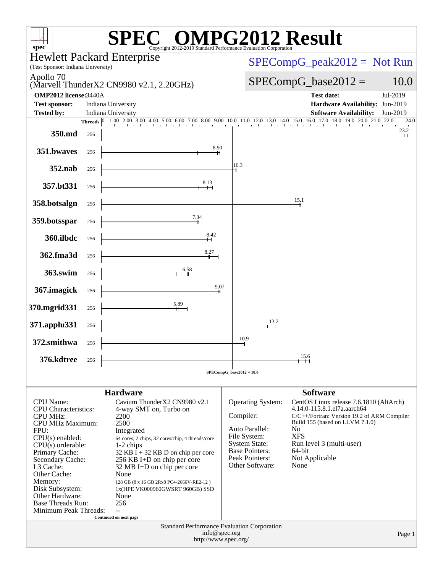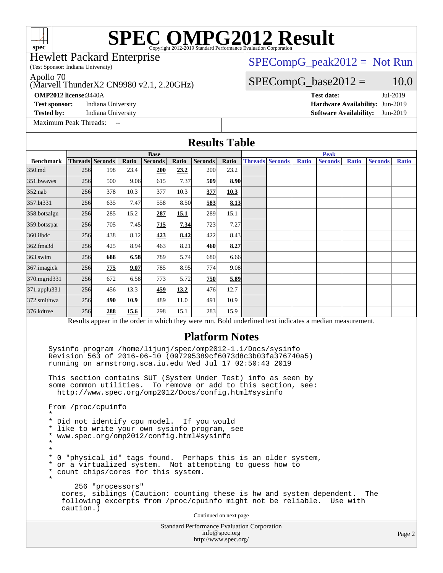(Test Sponsor: Indiana University) Hewlett Packard Enterprise

### $SPECompG_peak2012 = Not Run$  $SPECompG_peak2012 = Not Run$

 $SPECompG_base2012 = 10.0$  $SPECompG_base2012 = 10.0$ 

Apollo 70

#### (Marvell ThunderX2 CN9980 v2.1, 2.20GHz)

**[Test sponsor:](http://www.spec.org/auto/omp2012/Docs/result-fields.html#Testsponsor)** Indiana University **[Hardware Availability:](http://www.spec.org/auto/omp2012/Docs/result-fields.html#HardwareAvailability)** Jun-2019

**[Tested by:](http://www.spec.org/auto/omp2012/Docs/result-fields.html#Testedby)** Indiana University **[Software Availability:](http://www.spec.org/auto/omp2012/Docs/result-fields.html#SoftwareAvailability)** Jun-2019

[Maximum Peak Threads:](http://www.spec.org/auto/omp2012/Docs/result-fields.html#MaximumPeakThreads)

**[OMP2012 license:](http://www.spec.org/auto/omp2012/Docs/result-fields.html#OMP2012license)**3440A **[Test date:](http://www.spec.org/auto/omp2012/Docs/result-fields.html#Testdate)** Jul-2019

Standard Performance Evaluation Corporation [info@spec.org](mailto:info@spec.org) **[Results Table](http://www.spec.org/auto/omp2012/Docs/result-fields.html#ResultsTable) [Benchmark](http://www.spec.org/auto/omp2012/Docs/result-fields.html#Benchmark) [Threads](http://www.spec.org/auto/omp2012/Docs/result-fields.html#Threads) [Seconds](http://www.spec.org/auto/omp2012/Docs/result-fields.html#Seconds) [Ratio](http://www.spec.org/auto/omp2012/Docs/result-fields.html#Ratio) [Seconds](http://www.spec.org/auto/omp2012/Docs/result-fields.html#Seconds) [Ratio](http://www.spec.org/auto/omp2012/Docs/result-fields.html#Ratio) [Seconds](http://www.spec.org/auto/omp2012/Docs/result-fields.html#Seconds) [Ratio](http://www.spec.org/auto/omp2012/Docs/result-fields.html#Ratio) Base [Threads](http://www.spec.org/auto/omp2012/Docs/result-fields.html#Threads) [Seconds](http://www.spec.org/auto/omp2012/Docs/result-fields.html#Seconds) [Ratio](http://www.spec.org/auto/omp2012/Docs/result-fields.html#Ratio) [Seconds](http://www.spec.org/auto/omp2012/Docs/result-fields.html#Seconds) [Ratio](http://www.spec.org/auto/omp2012/Docs/result-fields.html#Ratio) [Seconds](http://www.spec.org/auto/omp2012/Docs/result-fields.html#Seconds) [Ratio](http://www.spec.org/auto/omp2012/Docs/result-fields.html#Ratio) Peak** [350.md](http://www.spec.org/auto/omp2012/Docs/350.md.html) 256 198 23.4 **[200](http://www.spec.org/auto/omp2012/Docs/result-fields.html#Median) [23.2](http://www.spec.org/auto/omp2012/Docs/result-fields.html#Median)** 200 23.2 [351.bwaves](http://www.spec.org/auto/omp2012/Docs/351.bwaves.html) 256 500 9.06 615 7.37 **[509](http://www.spec.org/auto/omp2012/Docs/result-fields.html#Median) [8.90](http://www.spec.org/auto/omp2012/Docs/result-fields.html#Median)** [352.nab](http://www.spec.org/auto/omp2012/Docs/352.nab.html) 256 378 10.3 377 10.3 **[377](http://www.spec.org/auto/omp2012/Docs/result-fields.html#Median) [10.3](http://www.spec.org/auto/omp2012/Docs/result-fields.html#Median)** [357.bt331](http://www.spec.org/auto/omp2012/Docs/357.bt331.html) 256 635 7.47 558 8.50 **[583](http://www.spec.org/auto/omp2012/Docs/result-fields.html#Median) [8.13](http://www.spec.org/auto/omp2012/Docs/result-fields.html#Median)** [358.botsalgn](http://www.spec.org/auto/omp2012/Docs/358.botsalgn.html) 256 285 15.2 **[287](http://www.spec.org/auto/omp2012/Docs/result-fields.html#Median) [15.1](http://www.spec.org/auto/omp2012/Docs/result-fields.html#Median)** 289 15.1 [359.botsspar](http://www.spec.org/auto/omp2012/Docs/359.botsspar.html) 256 705 7.45 **[715](http://www.spec.org/auto/omp2012/Docs/result-fields.html#Median) [7.34](http://www.spec.org/auto/omp2012/Docs/result-fields.html#Median)** 723 7.27 [360.ilbdc](http://www.spec.org/auto/omp2012/Docs/360.ilbdc.html) 256 438 8.12 **[423](http://www.spec.org/auto/omp2012/Docs/result-fields.html#Median) [8.42](http://www.spec.org/auto/omp2012/Docs/result-fields.html#Median)** 422 8.43 [362.fma3d](http://www.spec.org/auto/omp2012/Docs/362.fma3d.html) 256 425 8.94 463 8.21 **[460](http://www.spec.org/auto/omp2012/Docs/result-fields.html#Median) [8.27](http://www.spec.org/auto/omp2012/Docs/result-fields.html#Median)** [363.swim](http://www.spec.org/auto/omp2012/Docs/363.swim.html) 256 **[688](http://www.spec.org/auto/omp2012/Docs/result-fields.html#Median) [6.58](http://www.spec.org/auto/omp2012/Docs/result-fields.html#Median)** 789 5.74 680 6.66 [367.imagick](http://www.spec.org/auto/omp2012/Docs/367.imagick.html) 256 **[775](http://www.spec.org/auto/omp2012/Docs/result-fields.html#Median) [9.07](http://www.spec.org/auto/omp2012/Docs/result-fields.html#Median)** 785 8.95 774 9.08 [370.mgrid331](http://www.spec.org/auto/omp2012/Docs/370.mgrid331.html) 256 672 6.58 773 5.72 **[750](http://www.spec.org/auto/omp2012/Docs/result-fields.html#Median) [5.89](http://www.spec.org/auto/omp2012/Docs/result-fields.html#Median)** [371.applu331](http://www.spec.org/auto/omp2012/Docs/371.applu331.html) 256 456 13.3 **[459](http://www.spec.org/auto/omp2012/Docs/result-fields.html#Median) [13.2](http://www.spec.org/auto/omp2012/Docs/result-fields.html#Median)** 476 12.7 [372.smithwa](http://www.spec.org/auto/omp2012/Docs/372.smithwa.html) 256 **[490](http://www.spec.org/auto/omp2012/Docs/result-fields.html#Median) [10.9](http://www.spec.org/auto/omp2012/Docs/result-fields.html#Median)** 489 11.0 491 10.9 [376.kdtree](http://www.spec.org/auto/omp2012/Docs/376.kdtree.html) 256 **[288](http://www.spec.org/auto/omp2012/Docs/result-fields.html#Median) [15.6](http://www.spec.org/auto/omp2012/Docs/result-fields.html#Median)** 298 15.1 283 15.9 Results appear in the [order in which they were run.](http://www.spec.org/auto/omp2012/Docs/result-fields.html#RunOrder) Bold underlined text [indicates a median measurement.](http://www.spec.org/auto/omp2012/Docs/result-fields.html#Median) **[Platform Notes](http://www.spec.org/auto/omp2012/Docs/result-fields.html#PlatformNotes)** Sysinfo program /home/lijunj/spec/omp2012-1.1/Docs/sysinfo Revision 563 of 2016-06-10 (097295389cf6073d8c3b03fa376740a5) running on armstrong.sca.iu.edu Wed Jul 17 02:50:43 2019 This section contains SUT (System Under Test) info as seen by some common utilities. To remove or add to this section, see: <http://www.spec.org/omp2012/Docs/config.html#sysinfo> From /proc/cpuinfo \* \* Did not identify cpu model. If you would \* like to write your own sysinfo program, see \* www.spec.org/omp2012/config.html#sysinfo \* \* \* 0 "physical id" tags found. Perhaps this is an older system, \* or a virtualized system. Not attempting to guess how to \* count chips/cores for this system. \* 256 "processors" cores, siblings (Caution: counting these is hw and system dependent. The following excerpts from /proc/cpuinfo might not be reliable. Use with caution.) Continued on next page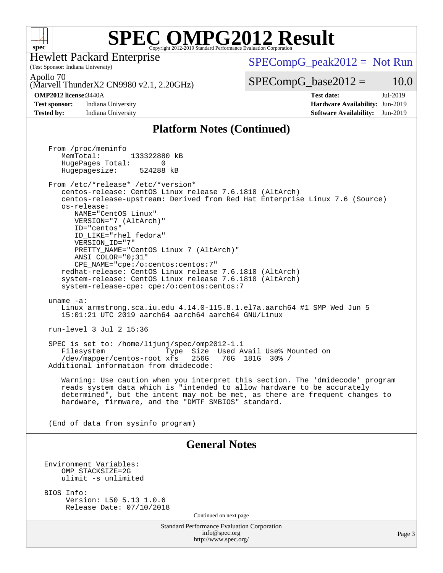

(Test Sponsor: Indiana University) Hewlett Packard Enterprise

 $SPECompG_peak2012 = Not Run$  $SPECompG_peak2012 = Not Run$ 

Apollo 70

(Marvell ThunderX2 CN9980 v2.1, 2.20GHz)

#### **[OMP2012 license:](http://www.spec.org/auto/omp2012/Docs/result-fields.html#OMP2012license)**3440A **[Test date:](http://www.spec.org/auto/omp2012/Docs/result-fields.html#Testdate)** Jul-2019

**[Test sponsor:](http://www.spec.org/auto/omp2012/Docs/result-fields.html#Testsponsor)** Indiana University **[Hardware Availability:](http://www.spec.org/auto/omp2012/Docs/result-fields.html#HardwareAvailability)** Jun-2019 **[Tested by:](http://www.spec.org/auto/omp2012/Docs/result-fields.html#Testedby)** Indiana University **[Software Availability:](http://www.spec.org/auto/omp2012/Docs/result-fields.html#SoftwareAvailability)** Jun-2019

 $SPECompG_base2012 = 10.0$  $SPECompG_base2012 = 10.0$ 

### **[Platform Notes \(Continued\)](http://www.spec.org/auto/omp2012/Docs/result-fields.html#PlatformNotes)**

Standard Performance Evaluation Corporation [info@spec.org](mailto:info@spec.org) <http://www.spec.org/> Page 3 From /proc/meminfo MemTotal: 133322880 kB HugePages\_Total: 0<br>Hugepagesize: 524288 kB Hugepagesize: From /etc/\*release\* /etc/\*version\* centos-release: CentOS Linux release 7.6.1810 (AltArch) centos-release-upstream: Derived from Red Hat Enterprise Linux 7.6 (Source) os-release: NAME="CentOS Linux" VERSION="7 (AltArch)" ID="centos" ID\_LIKE="rhel fedora" VERSION\_ID="7" PRETTY\_NAME="CentOS\_Linux 7 (AltArch)" ANSI\_COLOR="0;31" CPE\_NAME="cpe:/o:centos:centos:7" redhat-release: CentOS Linux release 7.6.1810 (AltArch) system-release: CentOS Linux release 7.6.1810 (AltArch) system-release-cpe: cpe:/o:centos:centos:7 uname -a: Linux armstrong.sca.iu.edu 4.14.0-115.8.1.el7a.aarch64 #1 SMP Wed Jun 5 15:01:21 UTC 2019 aarch64 aarch64 aarch64 GNU/Linux run-level 3 Jul 2 15:36 SPEC is set to: /home/lijunj/spec/omp2012-1.1 Filesystem Type Size Used Avail Use% Mounted on /dev/mapper/centos-root xfs 256G 76G 181G 30% / Additional information from dmidecode: Warning: Use caution when you interpret this section. The 'dmidecode' program reads system data which is "intended to allow hardware to be accurately determined", but the intent may not be met, as there are frequent changes to hardware, firmware, and the "DMTF SMBIOS" standard. (End of data from sysinfo program) **[General Notes](http://www.spec.org/auto/omp2012/Docs/result-fields.html#GeneralNotes)** Environment Variables: OMP\_STACKSIZE=2G ulimit -s unlimited BIOS Info: Version: L50\_5.13\_1.0.6 Release Date: 07/10/2018 Continued on next page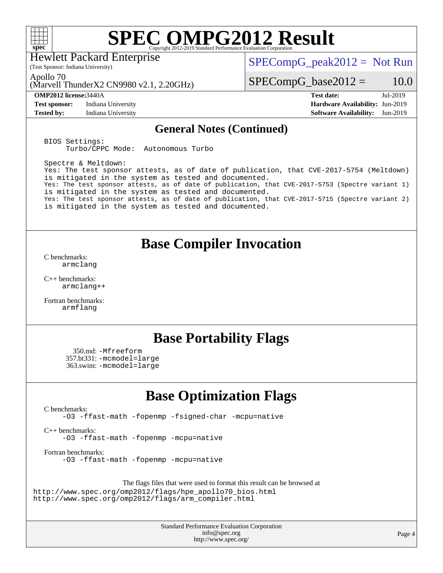

Hewlett Packard Enterprise

 $SPECompG_peak2012 = Not Run$  $SPECompG_peak2012 = Not Run$ 

Apollo 70

(Marvell ThunderX2 CN9980 v2.1, 2.20GHz)

(Test Sponsor: Indiana University)

**[Test sponsor:](http://www.spec.org/auto/omp2012/Docs/result-fields.html#Testsponsor)** Indiana University **[Hardware Availability:](http://www.spec.org/auto/omp2012/Docs/result-fields.html#HardwareAvailability)** Jun-2019

 $SPECompG_base2012 = 10.0$  $SPECompG_base2012 = 10.0$ 

**[OMP2012 license:](http://www.spec.org/auto/omp2012/Docs/result-fields.html#OMP2012license)**3440A **[Test date:](http://www.spec.org/auto/omp2012/Docs/result-fields.html#Testdate)** Jul-2019 **[Tested by:](http://www.spec.org/auto/omp2012/Docs/result-fields.html#Testedby)** Indiana University **[Software Availability:](http://www.spec.org/auto/omp2012/Docs/result-fields.html#SoftwareAvailability)** Jun-2019

### **[General Notes \(Continued\)](http://www.spec.org/auto/omp2012/Docs/result-fields.html#GeneralNotes)**

BIOS Settings: Turbo/CPPC Mode: Autonomous Turbo

Spectre & Meltdown: Yes: The test sponsor attests, as of date of publication, that CVE-2017-5754 (Meltdown) is mitigated in the system as tested and documented. Yes: The test sponsor attests, as of date of publication, that CVE-2017-5753 (Spectre variant 1) is mitigated in the system as tested and documented. Yes: The test sponsor attests, as of date of publication, that CVE-2017-5715 (Spectre variant 2) is mitigated in the system as tested and documented.

## **[Base Compiler Invocation](http://www.spec.org/auto/omp2012/Docs/result-fields.html#BaseCompilerInvocation)**

[C benchmarks](http://www.spec.org/auto/omp2012/Docs/result-fields.html#Cbenchmarks): [armclang](http://www.spec.org/omp2012/results/res2019q3/omp2012-20190812-00187.flags.html#user_CCbase_clang_3481ee5e28a05ca18f70b7399696a852)

[C++ benchmarks:](http://www.spec.org/auto/omp2012/Docs/result-fields.html#CXXbenchmarks) [armclang++](http://www.spec.org/omp2012/results/res2019q3/omp2012-20190812-00187.flags.html#user_CXXbase_clangplusplus_c3137dbe1be0ddf9e210a79cee0f6e94)

[Fortran benchmarks](http://www.spec.org/auto/omp2012/Docs/result-fields.html#Fortranbenchmarks): [armflang](http://www.spec.org/omp2012/results/res2019q3/omp2012-20190812-00187.flags.html#user_FCbase_flang_ea1fcaad5753608c4e545380f84a6f27)

## **[Base Portability Flags](http://www.spec.org/auto/omp2012/Docs/result-fields.html#BasePortabilityFlags)**

 350.md: [-Mfreeform](http://www.spec.org/omp2012/results/res2019q3/omp2012-20190812-00187.flags.html#user_baseFPORTABILITY350_md_M-freeform_67e23de17d51d9df7d6a47ecf8fd3ce9) 357.bt331: [-mcmodel=large](http://www.spec.org/omp2012/results/res2019q3/omp2012-20190812-00187.flags.html#user_baseFPORTABILITY357_bt331_f-mcmodel_bcd93d8f19f54a7ceb7a1f9518737645) 363.swim: [-mcmodel=large](http://www.spec.org/omp2012/results/res2019q3/omp2012-20190812-00187.flags.html#user_baseFPORTABILITY363_swim_f-mcmodel_bcd93d8f19f54a7ceb7a1f9518737645)

## **[Base Optimization Flags](http://www.spec.org/auto/omp2012/Docs/result-fields.html#BaseOptimizationFlags)**

[C benchmarks](http://www.spec.org/auto/omp2012/Docs/result-fields.html#Cbenchmarks):

[-O3](http://www.spec.org/omp2012/results/res2019q3/omp2012-20190812-00187.flags.html#user_CCbase_f-O3) [-ffast-math](http://www.spec.org/omp2012/results/res2019q3/omp2012-20190812-00187.flags.html#user_CCbase_f-ffast-math) [-fopenmp](http://www.spec.org/omp2012/results/res2019q3/omp2012-20190812-00187.flags.html#user_CCbase_f-fopenmp) [-fsigned-char](http://www.spec.org/omp2012/results/res2019q3/omp2012-20190812-00187.flags.html#user_CCbase_f-signed-char_ea072296ce3abda7ab095741e7c36064) [-mcpu=native](http://www.spec.org/omp2012/results/res2019q3/omp2012-20190812-00187.flags.html#user_CCbase_f-mcpu_8022b0ebebd1cfddb76fd2cd38caa1e3)

[C++ benchmarks:](http://www.spec.org/auto/omp2012/Docs/result-fields.html#CXXbenchmarks) [-O3](http://www.spec.org/omp2012/results/res2019q3/omp2012-20190812-00187.flags.html#user_CXXbase_f-O3) [-ffast-math](http://www.spec.org/omp2012/results/res2019q3/omp2012-20190812-00187.flags.html#user_CXXbase_f-ffast-math) [-fopenmp](http://www.spec.org/omp2012/results/res2019q3/omp2012-20190812-00187.flags.html#user_CXXbase_f-fopenmp) [-mcpu=native](http://www.spec.org/omp2012/results/res2019q3/omp2012-20190812-00187.flags.html#user_CXXbase_f-mcpu_8022b0ebebd1cfddb76fd2cd38caa1e3)

[Fortran benchmarks](http://www.spec.org/auto/omp2012/Docs/result-fields.html#Fortranbenchmarks): [-O3](http://www.spec.org/omp2012/results/res2019q3/omp2012-20190812-00187.flags.html#user_FCbase_f-O3) [-ffast-math](http://www.spec.org/omp2012/results/res2019q3/omp2012-20190812-00187.flags.html#user_FCbase_f-ffast-math) [-fopenmp](http://www.spec.org/omp2012/results/res2019q3/omp2012-20190812-00187.flags.html#user_FCbase_f-fopenmp) [-mcpu=native](http://www.spec.org/omp2012/results/res2019q3/omp2012-20190812-00187.flags.html#user_FCbase_f-mcpu_8022b0ebebd1cfddb76fd2cd38caa1e3)

The flags files that were used to format this result can be browsed at [http://www.spec.org/omp2012/flags/hpe\\_apollo70\\_bios.html](http://www.spec.org/omp2012/flags/hpe_apollo70_bios.html) [http://www.spec.org/omp2012/flags/arm\\_compiler.html](http://www.spec.org/omp2012/flags/arm_compiler.html)

> Standard Performance Evaluation Corporation [info@spec.org](mailto:info@spec.org) <http://www.spec.org/>